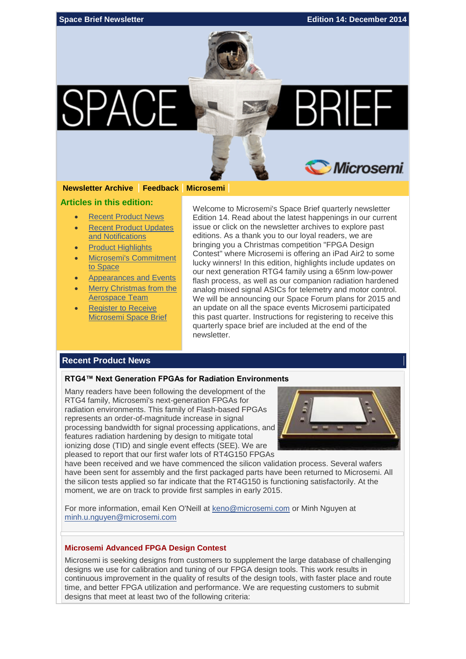

#### **[Newsletter Archive](http://soc.microsemi.com/spacenews/) [Feedback](mailto:spacebrief@microsemi.com?subject=SpaceBrief%20December%202014) [Microsemi](http://www.microsemi.com/applications/space)**

#### **Articles in this edition:**

- [Recent Product News](#page-0-0)
- [Recent Product Updates](#page-2-0)  [and Notifications](#page-2-0)
- [Product Highlights](#page-3-0)
- [Microsemi's Commitment](#page-4-0)  [to Space](#page-4-0)
- [Appearances and Events](#page-5-0)
- [Merry Christmas from the](#page-6-0)  [Aerospace Team](#page-6-0)
- **Register to Receive** [Microsemi Space Brief](#page-6-1)

Welcome to Microsemi's Space Brief quarterly newsletter Edition 14. Read about the latest happenings in our current issue or click on the newsletter archives to explore past editions. As a thank you to our loyal readers, we are bringing you a Christmas competition "FPGA Design Contest" where Microsemi is offering an iPad Air2 to some lucky winners! In this edition, highlights include updates on our next generation RTG4 family using a 65nm low-power flash process, as well as our companion radiation hardened analog mixed signal ASICs for telemetry and motor control. We will be announcing our Space Forum plans for 2015 and an update on all the space events Microsemi participated this past quarter. Instructions for registering to receive this quarterly space brief are included at the end of the newsletter.

#### <span id="page-0-0"></span>**Recent Product News**

#### **RTG4™ Next Generation FPGAs for Radiation Environments**

Many readers have been following the development of the RTG4 family, Microsemi's next-generation FPGAs for radiation environments. This family of Flash-based FPGAs represents an order-of-magnitude increase in signal processing bandwidth for signal processing applications, and features radiation hardening by design to mitigate total ionizing dose (TID) and single event effects (SEE). We are pleased to report that our first wafer lots of RT4G150 FPGAs



have been received and we have commenced the silicon validation process. Several wafers have been sent for assembly and the first packaged parts have been returned to Microsemi. All the silicon tests applied so far indicate that the RT4G150 is functioning satisfactorily. At the moment, we are on track to provide first samples in early 2015.

For more information, email Ken O'Neill at [keno@microsemi.com](mailto:keno@microsemi.com) or Minh Nguyen at [minh.u.nguyen@microsemi.com](mailto:minh.u.nguyen@microsemi.com)

#### **Microsemi Advanced FPGA Design Contest**

Microsemi is seeking designs from customers to supplement the large database of challenging designs we use for calibration and tuning of our FPGA design tools. This work results in continuous improvement in the quality of results of the design tools, with faster place and route time, and better FPGA utilization and performance. We are requesting customers to submit designs that meet at least two of the following criteria: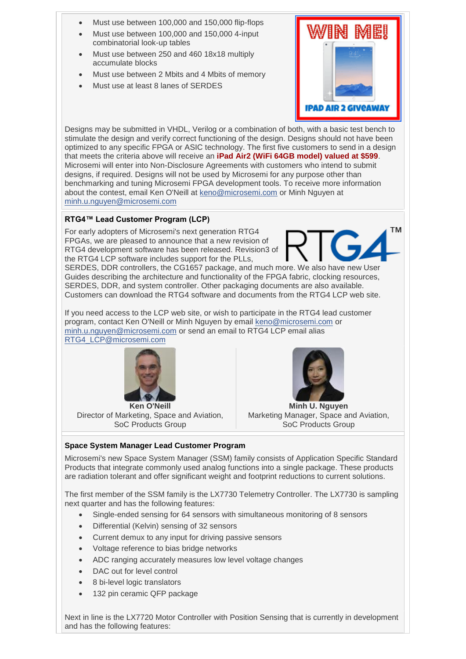- Must use between 100,000 and 150,000 flip-flops
- Must use between 100,000 and 150,000 4-input combinatorial look-up tables
- Must use between 250 and 460 18x18 multiply accumulate blocks
- Must use between 2 Mbits and 4 Mbits of memory
- Must use at least 8 lanes of SERDES



Designs may be submitted in VHDL, Verilog or a combination of both, with a basic test bench to stimulate the design and verify correct functioning of the design. Designs should not have been optimized to any specific FPGA or ASIC technology. The first five customers to send in a design that meets the criteria above will receive an **iPad Air2 (WiFi 64GB model) valued at \$599**. Microsemi will enter into Non-Disclosure Agreements with customers who intend to submit designs, if required. Designs will not be used by Microsemi for any purpose other than benchmarking and tuning Microsemi FPGA development tools. To receive more information about the contest, email Ken O'Neill at [keno@microsemi.com](mailto:keno@microsemi.com) or Minh Nguyen at [minh.u.nguyen@microsemi.com](mailto:minh.u.nguyen@microsemi.com)

# **RTG4™ Lead Customer Program (LCP)**

For early adopters of Microsemi's next generation RTG4 FPGAs, we are pleased to announce that a new revision of RTG4 development software has been released. Revision3 of the RTG4 LCP software includes support for the PLLs,



SERDES, DDR controllers, the CG1657 package, and much more. We also have new User Guides describing the architecture and functionality of the FPGA fabric, clocking resources, SERDES, DDR, and system controller. Other packaging documents are also available. Customers can download the RTG4 software and documents from the RTG4 LCP web site.

If you need access to the LCP web site, or wish to participate in the RTG4 lead customer program, contact Ken O'Neill or Minh Nguyen by email [keno@microsemi.com](mailto:keno@microsemi.com) or [minh.u.nguyen@microsemi.com](mailto:minh.u.nguyen@microsemi.com) or send an email to RTG4 LCP email alias [RTG4\\_LCP@microsemi.com](mailto:RTG4_LCP@microsemi.com)



**Ken O'Neill** Director of Marketing, Space and Aviation, SoC Products Group



**Minh U. Nguyen** Marketing Manager, Space and Aviation, SoC Products Group

# **Space System Manager Lead Customer Program**

Microsemi's new Space System Manager (SSM) family consists of Application Specific Standard Products that integrate commonly used analog functions into a single package. These products are radiation tolerant and offer significant weight and footprint reductions to current solutions.

The first member of the SSM family is the LX7730 Telemetry Controller. The LX7730 is sampling next quarter and has the following features:

- Single-ended sensing for 64 sensors with simultaneous monitoring of 8 sensors
- Differential (Kelvin) sensing of 32 sensors
- Current demux to any input for driving passive sensors
- Voltage reference to bias bridge networks
- ADC ranging accurately measures low level voltage changes
- DAC out for level control
- 8 bi-level logic translators
- 132 pin ceramic QFP package

Next in line is the LX7720 Motor Controller with Position Sensing that is currently in development and has the following features: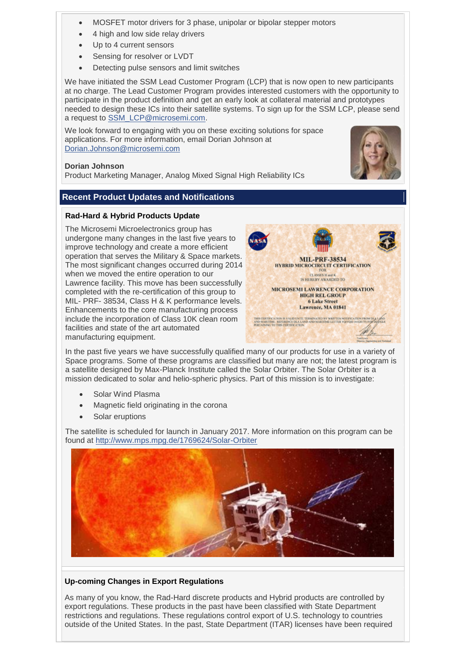- MOSFET motor drivers for 3 phase, unipolar or bipolar stepper motors
- 4 high and low side relay drivers
- Up to 4 current sensors
- Sensing for resolver or LVDT
- Detecting pulse sensors and limit switches

We have initiated the SSM Lead Customer Program (LCP) that is now open to new participants at no charge. The Lead Customer Program provides interested customers with the opportunity to participate in the product definition and get an early look at collateral material and prototypes needed to design these ICs into their satellite systems. To sign up for the SSM LCP, please send a request to [SSM\\_LCP@microsemi.com.](mailto:SSM_LCP@microsemi.com)

We look forward to engaging with you on these exciting solutions for space applications. For more information, email Dorian Johnson at [Dorian.Johnson@microsemi.com](mailto:Dorian.Johnson@microsemi.com)

## **Dorian Johnson**

Product Marketing Manager, Analog Mixed Signal High Reliability ICs

## <span id="page-2-0"></span>**Recent Product Updates and Notifications**

## **Rad-Hard & Hybrid Products Update**

The Microsemi Microelectronics group has undergone many changes in the last five years to improve technology and create a more efficient operation that serves the Military & Space markets. The most significant changes occurred during 2014 when we moved the entire operation to our Lawrence facility. This move has been successfully completed with the re-certification of this group to MIL- PRF- 38534, Class H & K performance levels. Enhancements to the core manufacturing process include the incorporation of Class 10K clean room facilities and state of the art automated manufacturing equipment.



In the past five years we have successfully qualified many of our products for use in a variety of Space programs. Some of these programs are classified but many are not; the latest program is a satellite designed by Max-Planck Institute called the Solar Orbiter. The Solar Orbiter is a mission dedicated to solar and helio-spheric physics. Part of this mission is to investigate:

- Solar Wind Plasma
- Magnetic field originating in the corona
- Solar eruptions

The satellite is scheduled for launch in January 2017. More information on this program can be found at<http://www.mps.mpg.de/1769624/Solar-Orbiter>



## **Up-coming Changes in Export Regulations**

As many of you know, the Rad-Hard discrete products and Hybrid products are controlled by export regulations. These products in the past have been classified with State Department restrictions and regulations. These regulations control export of U.S. technology to countries outside of the United States. In the past, State Department (ITAR) licenses have been required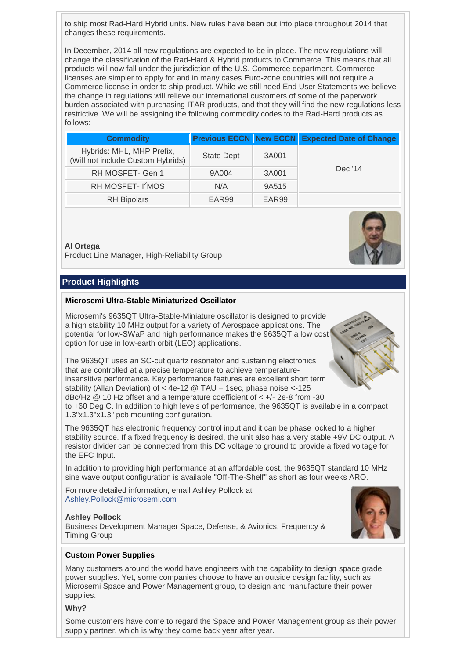to ship most Rad-Hard Hybrid units. New rules have been put into place throughout 2014 that changes these requirements.

In December, 2014 all new regulations are expected to be in place. The new regulations will change the classification of the Rad-Hard & Hybrid products to Commerce. This means that all products will now fall under the jurisdiction of the U.S. Commerce department. Commerce licenses are simpler to apply for and in many cases Euro-zone countries will not require a Commerce license in order to ship product. While we still need End User Statements we believe the change in regulations will relieve our international customers of some of the paperwork burden associated with purchasing ITAR products, and that they will find the new regulations less restrictive. We will be assigning the following commodity codes to the Rad-Hard products as follows:

| <b>Commodity</b>                                               |                   |       | <b>Previous ECCN New ECCN Expected Date of Change</b> |
|----------------------------------------------------------------|-------------------|-------|-------------------------------------------------------|
| Hybrids: MHL, MHP Prefix,<br>(Will not include Custom Hybrids) | <b>State Dept</b> | 3A001 | Dec '14                                               |
| RH MOSFET- Gen 1                                               | 9A004             | 3A001 |                                                       |
| RH MOSFET- I <sup>2</sup> MOS                                  | N/A               | 9A515 |                                                       |
| <b>RH</b> Bipolars                                             | EAR <sub>99</sub> | EAR99 |                                                       |

#### **Al Ortega**

Product Line Manager, High-Reliability Group

## <span id="page-3-0"></span>**Product Highlights**

#### **Microsemi Ultra-Stable Miniaturized Oscillator**

Microsemi's 9635QT Ultra-Stable-Miniature oscillator is designed to provide a high stability 10 MHz output for a variety of Aerospace applications. The potential for low-SWaP and high performance makes the 9635QT a low cost option for use in low-earth orbit (LEO) applications.

The 9635QT uses an SC-cut quartz resonator and sustaining electronics that are controlled at a precise temperature to achieve temperatureinsensitive performance. Key performance features are excellent short term stability (Allan Deviation) of < 4e-12 @ TAU = 1sec, phase noise <-125 dBc/Hz @ 10 Hz offset and a temperature coefficient of < +/- 2e-8 from -30 to +60 Deg C. In addition to high levels of performance, the 9635QT is available in a compact 1.3"x1.3"x1.3" pcb mounting configuration.

The 9635QT has electronic frequency control input and it can be phase locked to a higher stability source. If a fixed frequency is desired, the unit also has a very stable +9V DC output. A resistor divider can be connected from this DC voltage to ground to provide a fixed voltage for the EFC Input.

In addition to providing high performance at an affordable cost, the 9635QT standard 10 MHz sine wave output configuration is available "Off-The-Shelf" as short as four weeks ARO.

For more detailed information, email Ashley Pollock at [Ashley.Pollock@microsemi.com](mailto:Ashley.Pollock@microsemi.com)

#### **Ashley Pollock**

Business Development Manager Space, Defense, & Avionics, Frequency & Timing Group



## **Custom Power Supplies**

Many customers around the world have engineers with the capability to design space grade power supplies. Yet, some companies choose to have an outside design facility, such as Microsemi Space and Power Management group, to design and manufacture their power supplies.

#### **Why?**

Some customers have come to regard the Space and Power Management group as their power supply partner, which is why they come back year after year.

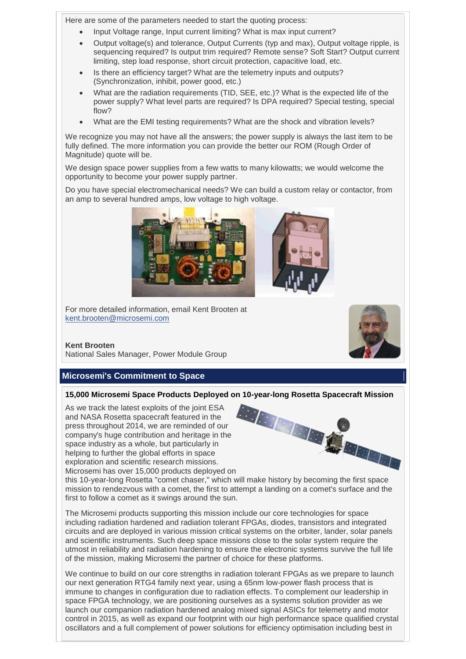Here are some of the parameters needed to start the quoting process:

- Input Voltage range, Input current limiting? What is max input current?
- Output voltage(s) and tolerance, Output Currents (typ and max), Output voltage ripple, is sequencing required? Is output trim required? Remote sense? Soft Start? Output current limiting, step load response, short circuit protection, capacitive load, etc.
- Is there an efficiency target? What are the telemetry inputs and outputs? (Synchronization, inhibit, power good, etc.)
- What are the radiation requirements (TID, SEE, etc.)? What is the expected life of the power supply? What level parts are required? Is DPA required? Special testing, special flow?
- What are the EMI testing requirements? What are the shock and vibration levels?

We recognize you may not have all the answers; the power supply is always the last item to be fully defined. The more information you can provide the better our ROM (Rough Order of Magnitude) quote will be.

We design space power supplies from a few watts to many kilowatts; we would welcome the opportunity to become your power supply partner.

Do you have special electromechanical needs? We can build a custom relay or contactor, from an amp to several hundred amps, low voltage to high voltage.



For more detailed information, email Kent Brooten at [kent.brooten@microsemi.com](mailto:kent.brooten@microsemi.com)

## **Kent Brooten**

National Sales Manager, Power Module Group

# <span id="page-4-0"></span>**Microsemi's Commitment to Space**

## **15,000 Microsemi Space Products Deployed on 10-year-long Rosetta Spacecraft Mission**

As we track the latest exploits of the joint ESA and NASA Rosetta spacecraft featured in the press throughout 2014, we are reminded of our company's huge contribution and heritage in the space industry as a whole, but particularly in helping to further the global efforts in space exploration and scientific research missions. Microsemi has over 15,000 products deployed on



this 10-year-long Rosetta "comet chaser," which will make history by becoming the first space mission to rendezvous with a comet, the first to attempt a landing on a comet's surface and the first to follow a comet as it swings around the sun.

The Microsemi products supporting this mission include our core technologies for space including radiation hardened and radiation tolerant FPGAs, diodes, transistors and integrated circuits and are deployed in various mission critical systems on the orbiter, lander, solar panels and scientific instruments. Such deep space missions close to the solar system require the utmost in reliability and radiation hardening to ensure the electronic systems survive the full life of the mission, making Microsemi the partner of choice for these platforms.

We continue to build on our core strengths in radiation tolerant FPGAs as we prepare to launch our next generation RTG4 family next year, using a 65nm low-power flash process that is immune to changes in configuration due to radiation effects. To complement our leadership in space FPGA technology, we are positioning ourselves as a systems solution provider as we launch our companion radiation hardened analog mixed signal ASICs for telemetry and motor control in 2015, as well as expand our footprint with our high performance space qualified crystal oscillators and a full complement of power solutions for efficiency optimisation including best in

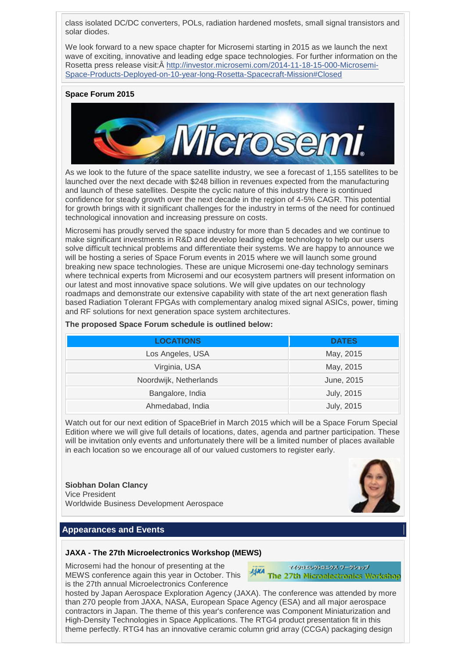class isolated DC/DC converters, POLs, radiation hardened mosfets, small signal transistors and solar diodes.

We look forward to a new space chapter for Microsemi starting in 2015 as we launch the next wave of exciting, innovative and leading edge space technologies. For further information on the Rosetta press release visit:Â [http://investor.microsemi.com/2014-11-18-15-000-Microsemi-](http://investor.microsemi.com/2014-11-18-15-000-Microsemi-Space-Products-Deployed-on-10-year-long-Rosetta-Spacecraft-Mission#Closed)[Space-Products-Deployed-on-10-year-long-Rosetta-Spacecraft-Mission#Closed](http://investor.microsemi.com/2014-11-18-15-000-Microsemi-Space-Products-Deployed-on-10-year-long-Rosetta-Spacecraft-Mission#Closed)

#### **Space Forum 2015**



As we look to the future of the space satellite industry, we see a forecast of 1,155 satellites to be launched over the next decade with \$248 billion in revenues expected from the manufacturing and launch of these satellites. Despite the cyclic nature of this industry there is continued confidence for steady growth over the next decade in the region of 4-5% CAGR. This potential for growth brings with it significant challenges for the industry in terms of the need for continued technological innovation and increasing pressure on costs.

Microsemi has proudly served the space industry for more than 5 decades and we continue to make significant investments in R&D and develop leading edge technology to help our users solve difficult technical problems and differentiate their systems. We are happy to announce we will be hosting a series of Space Forum events in 2015 where we will launch some ground breaking new space technologies. These are unique Microsemi one-day technology seminars where technical experts from Microsemi and our ecosystem partners will present information on our latest and most innovative space solutions. We will give updates on our technology roadmaps and demonstrate our extensive capability with state of the art next generation flash based Radiation Tolerant FPGAs with complementary analog mixed signal ASICs, power, timing and RF solutions for next generation space system architectures.

#### **The proposed Space Forum schedule is outlined below:**

| <b>LOCATIONS</b>       | <b>DATES</b>      |
|------------------------|-------------------|
| Los Angeles, USA       | May, 2015         |
| Virginia, USA          | May, 2015         |
| Noordwijk, Netherlands | June, 2015        |
| Bangalore, India       | July, 2015        |
| Ahmedabad, India       | <b>July, 2015</b> |

Watch out for our next edition of SpaceBrief in March 2015 which will be a Space Forum Special Edition where we will give full details of locations, dates, agenda and partner participation. These will be invitation only events and unfortunately there will be a limited number of places available in each location so we encourage all of our valued customers to register early.

**Siobhan Dolan Clancy** Vice President Worldwide Business Development Aerospace



## <span id="page-5-0"></span>**Appearances and Events**

#### **JAXA - The 27th Microelectronics Workshop (MEWS)**

Microsemi had the honour of presenting at the MEWS conference again this year in October. This is the 27th annual Microelectronics Conference

マイクロスレクトロニクス ワークショップ **MXA**<br>The 27th Microelectronics Workshop

hosted by Japan Aerospace Exploration Agency (JAXA). The conference was attended by more than 270 people from JAXA, NASA, European Space Agency (ESA) and all major aerospace contractors in Japan. The theme of this year's conference was Component Miniaturization and High-Density Technologies in Space Applications. The RTG4 product presentation fit in this theme perfectly. RTG4 has an innovative ceramic column grid array (CCGA) packaging design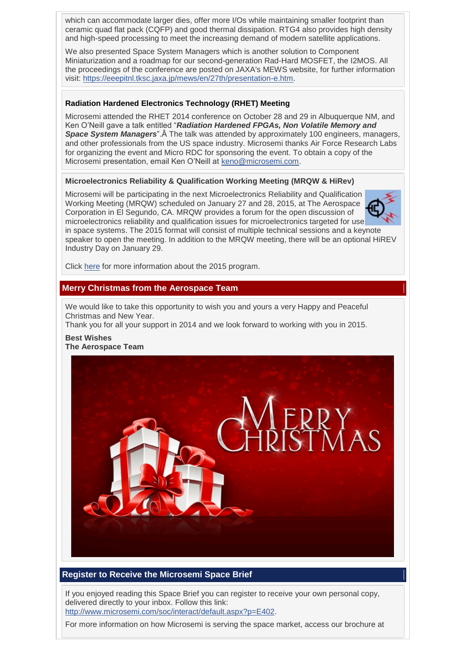which can accommodate larger dies, offer more I/Os while maintaining smaller footprint than ceramic quad flat pack (CQFP) and good thermal dissipation. RTG4 also provides high density and high-speed processing to meet the increasing demand of modern satellite applications.

We also presented Space System Managers which is another solution to Component Miniaturization and a roadmap for our second-generation Rad-Hard MOSFET, the I2MOS. All the proceedings of the conference are posted on JAXA's MEWS website, for further information visit: [https://eeepitnl.tksc.jaxa.jp/mews/en/27th/presentation-e.htm.](https://eeepitnl.tksc.jaxa.jp/mews/en/27th/presentation-e.htm)

## **Radiation Hardened Electronics Technology (RHET) Meeting**

Microsemi attended the RHET 2014 conference on October 28 and 29 in Albuquerque NM, and Ken O'Neill gave a talk entitled "*Radiation Hardened FPGAs, Non Volatile Memory and*  **Space System Managers**". A The talk was attended by approximately 100 engineers, managers, and other professionals from the US space industry. Microsemi thanks Air Force Research Labs for organizing the event and Micro RDC for sponsoring the event. To obtain a copy of the Microsemi presentation, email Ken O'Neill at [keno@microsemi.com.](mailto:keno@microsemi.com)

## **Microelectronics Reliability & Qualification Working Meeting (MRQW & HiRev)**

Microsemi will be participating in the next Microelectronics Reliability and Qualification Working Meeting (MRQW) scheduled on January 27 and 28, 2015, at The Aerospace Corporation in El Segundo, CA. MRQW provides a forum for the open discussion of microelectronics reliability and qualification issues for microelectronics targeted for use in space systems. The 2015 format will consist of multiple technical sessions and a keynote speaker to open the meeting. In addition to the MRQW meeting, there will be an optional HiREV Industry Day on January 29.

Click [here](http://www.cvent.com/d/9rqnfl) for more information about the 2015 program.

## <span id="page-6-0"></span>**Merry Christmas from the Aerospace Team**

We would like to take this opportunity to wish you and yours a very Happy and Peaceful Christmas and New Year.

Thank you for all your support in 2014 and we look forward to working with you in 2015. **Best Wishes**

# **The Aerospace Team**



## <span id="page-6-1"></span>**Register to Receive the Microsemi Space Brief**

If you enjoyed reading this Space Brief you can register to receive your own personal copy, delivered directly to your inbox. Follow this link: [http://www.microsemi.com/soc/interact/default.aspx?p=E402.](http://www.microsemi.com/soc/interact/default.aspx?p=E402)

For more information on how Microsemi is serving the space market, access our brochure at